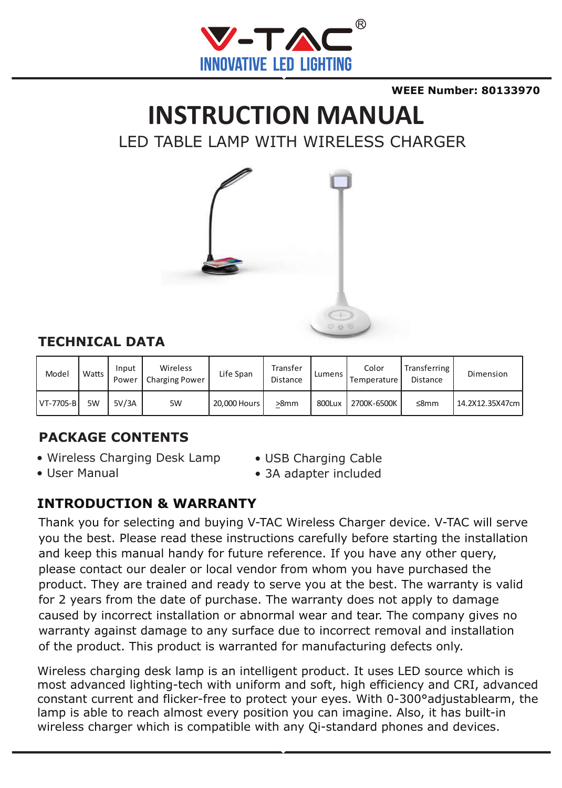

**WEEE Number: 80133970**

# **INSTRUCTION MANUAL**

LED TABLE LAMP WITH WIRELESS CHARGER



#### **TECHNICAL DATA**

| Model     | Watts | Input<br>Power | Wireless<br><b>Charging Power</b> | Life Span    | Transfer<br>Distance | Lumens | Color<br><b>Temperature</b> | Transferring  <br>Distance | Dimension       |
|-----------|-------|----------------|-----------------------------------|--------------|----------------------|--------|-----------------------------|----------------------------|-----------------|
| VT-7705-B | 5W    | 5V/3A          | 5W                                | 20,000 Hours | >8mm                 | 800Lux | 2700K-6500K                 | ≤8mm                       | 14.2X12.35X47cm |

#### **PACKAGE CONTENTS**

- Wireless Charging Desk Lamp
- USB Charging Cable

• User Manual

• 3A adapter included

#### **INTRODUCTION & WARRANTY**

Thank you for selecting and buying V-TAC Wireless Charger device. V-TAC will serve you the best. Please read these instructions carefully before starting the installation and keep this manual handy for future reference. If you have any other query, please contact our dealer or local vendor from whom you have purchased the product. They are trained and ready to serve you at the best. The warranty is valid for 2 years from the date of purchase. The warranty does not apply to damage caused by incorrect installation or abnormal wear and tear. The company gives no warranty against damage to any surface due to incorrect removal and installation of the product. This product is warranted for manufacturing defects only.

Wireless charging desk lamp is an intelligent product. It uses LED source which is most advanced lighting-tech with uniform and soft, high efficiency and CRI, advanced constant current and flicker-free to protect your eyes. With 0-300°adjustablearm, the lamp is able to reach almost every position you can imagine. Also, it has built-in wireless charger which is compatible with any Qi-standard phones and devices.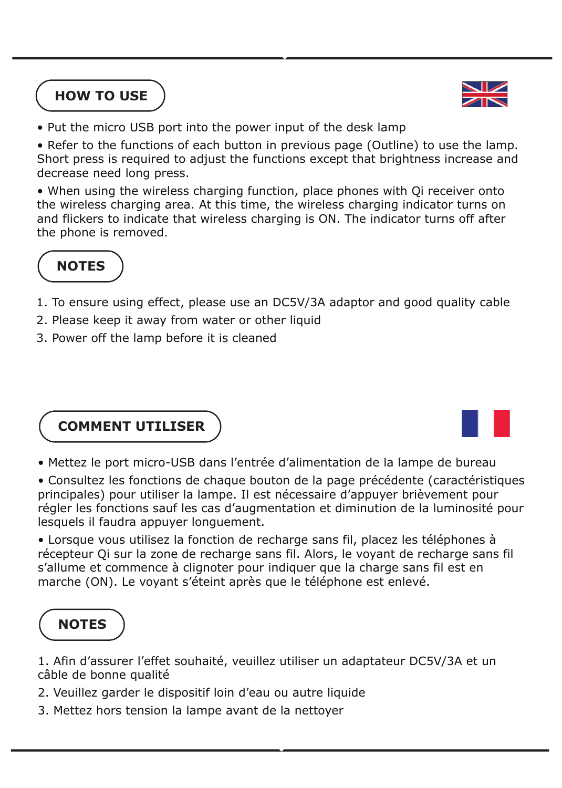#### **HOW TO USE**



• Put the micro USB port into the power input of the desk lamp

• Refer to the functions of each button in previous page (Outline) to use the lamp. Short press is required to adjust the functions except that brightness increase and decrease need long press.

• When using the wireless charging function, place phones with Qi receiver onto the wireless charging area. At this time, the wireless charging indicator turns on and flickers to indicate that wireless charging is ON. The indicator turns off after the phone is removed.



- 1. To ensure using effect, please use an DC5V/3A adaptor and good quality cable
- 2. Please keep it away from water or other liquid
- 3. Power off the lamp before it is cleaned

#### **COMMENT UTILISER**



- Mettez le port micro-USB dans l'entrée d'alimentation de la lampe de bureau
- Consultez les fonctions de chaque bouton de la page précédente (caractéristiques principales) pour utiliser la lampe. Il est nécessaire d'appuyer brièvement pour régler les fonctions sauf les cas d'augmentation et diminution de la luminosité pour lesquels il faudra appuyer longuement.

• Lorsque vous utilisez la fonction de recharge sans fil, placez les téléphones à récepteur Qi sur la zone de recharge sans fil. Alors, le voyant de recharge sans fil s'allume et commence à clignoter pour indiquer que la charge sans fil est en marche (ON). Le voyant s'éteint après que le téléphone est enlevé.

#### **NOTES**

1. Afin d'assurer l'effet souhaité, veuillez utiliser un adaptateur DC5V/3A et un câble de bonne qualité

- 2. Veuillez garder le dispositif loin d'eau ou autre liquide
- 3. Mettez hors tension la lampe avant de la nettoyer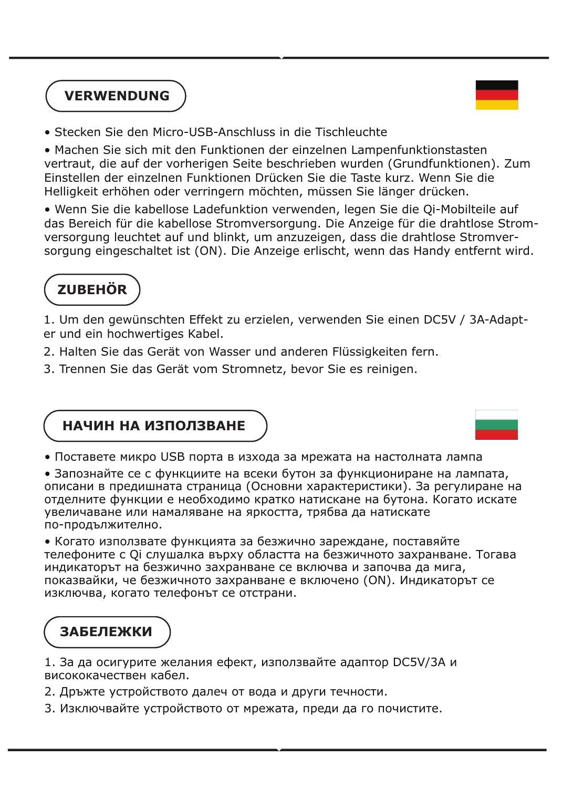#### **VERWENDUNG**



• Stecken Sie den Micro-USB-Anschluss in die Tischleuchte

• Machen Sie sich mit den Funktionen der einzelnen Lampenfunktionstasten vertraut, die auf der vorherigen Seite beschrieben wurden (Grundfunktionen). Zum Einstellen der einzelnen Funktionen Drücken Sie die Taste kurz. Wenn Sie die Helligkeit erhöhen oder verringern möchten, müssen Sie länger drücken.

• Wenn Sie die kabellose Ladefunktion verwenden, legen Sie die Qi-Mobilteile auf das Bereich für die kabellose Stromversorgung. Die Anzeige für die drahtlose Stromversorgung leuchtet auf und blinkt, um anzuzeigen, dass die drahtlose Stromversorgung eingeschaltet ist (ON). Die Anzeige erlischt, wenn das Handy entfernt wird.

## **ZUBEHÖR**

1. Um den gewünschten Effekt zu erzielen, verwenden Sie einen DC5V / 3A-Adapter und ein hochwertiges Kabel.

- 2. Halten Sie das Gerät von Wasser und anderen Flüssigkeiten fern.
- 3. Trennen Sie das Gerät vom Stromnetz, bevor Sie es reinigen.

#### **НАЧИН НА ИЗПОЛЗВАНЕ**

• Поставете микро USB порта в изхода за мрежата на настолната лампа

• Запознайте се с функциите на всеки бутон за функциониране на лампата, описани в предишната страница (Основни характеристики). За регулиране на отделните функции е необходимо кратко натискане на бутона. Когато искате увеличаване или намаляване на яркостта, трябва да натискате по-продължително.

• Когато използвате функцията за безжично зареждане, поставяйте телефоните с Qi слушалка върху областта на безжичното захранване. Тогава индикаторът на безжично захранване се включва и започва да мига, показвайки, че безжичното захранване е включено (ON). Индикаторът се изключва, когато телефонът се отстрани.

#### **ЗАБЕЛЕЖКИ**

1. За да осигурите желания ефект, използвайте адаптор DC5V/3A и висококачествен кабел.

- 2. Дръжте устройството далеч от вода и други течности.
- 3. Изключвайте устройството от мрежата, преди да го почистите.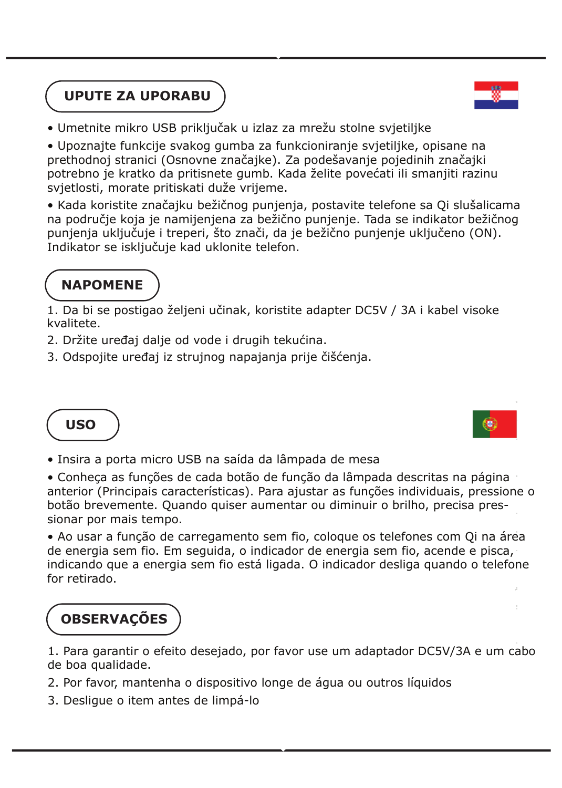### **UPUTE ZA UPORABU**



• Umetnite mikro USB priključak u izlaz za mrežu stolne svjetiljke

• Upoznajte funkcije svakog gumba za funkcioniranje svjetiljke, opisane na prethodnoj stranici (Osnovne značajke). Za podešavanje pojedinih značajki potrebno je kratko da pritisnete gumb. Kada želite povećati ili smanjiti razinu svjetlosti, morate pritiskati duže vrijeme.

• Kada koristite značajku bežičnog punjenja, postavite telefone sa Qi slušalicama na područje koja je namijenjena za bežično punjenje. Tada se indikator bežičnog punjenja uključuje i treperi, što znači, da je bežično punjenje uključeno (ON). Indikator se isključuje kad uklonite telefon.

#### **NAPOMENE**

1. Da bi se postigao željeni učinak, koristite adapter DC5V / 3A i kabel visoke kvalitete.

- 2. Držite uređaj dalje od vode i drugih tekućina.
- 3. Odspojite uređaj iz strujnog napajanja prije čišćenja.

### **USO**

• Insira a porta micro USB na saída da lâmpada de mesa

• Conheça as funções de cada botão de função da lâmpada descritas na página anterior (Principais características). Para ajustar as funções individuais, pressione o botão brevemente. Quando quiser aumentar ou diminuir o brilho, precisa pressionar por mais tempo.

• Ao usar a função de carregamento sem fio, coloque os telefones com Qi na área de energia sem fio. Em seguida, o indicador de energia sem fio, acende e pisca, indicando que a energia sem fio está ligada. O indicador desliga quando o telefone for retirado.

## **OBSERVAÇÕES**

1. Para garantir o efeito desejado, por favor use um adaptador DC5V/3A e um cabo de boa qualidade.

- 2. Por favor, mantenha o dispositivo longe de água ou outros líquidos
- 3. Desligue o item antes de limpá-lo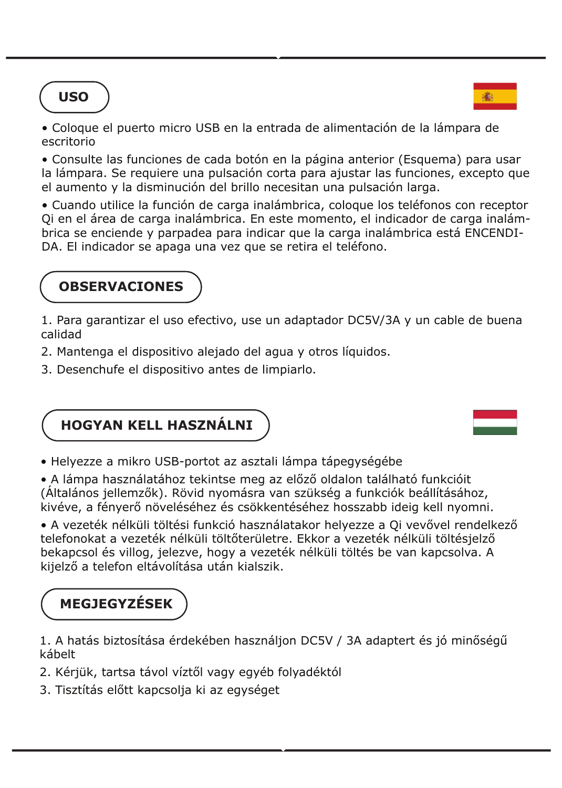### **USO**



• Coloque el puerto micro USB en la entrada de alimentación de la lámpara de escritorio

• Consulte las funciones de cada botón en la página anterior (Esquema) para usar la lámpara. Se requiere una pulsación corta para ajustar las funciones, excepto que el aumento y la disminución del brillo necesitan una pulsación larga.

• Cuando utilice la función de carga inalámbrica, coloque los teléfonos con receptor Qi en el área de carga inalámbrica. En este momento, el indicador de carga inalámbrica se enciende y parpadea para indicar que la carga inalámbrica está ENCENDI-DA. El indicador se apaga una vez que se retira el teléfono.

#### **OBSERVACIONES**

1. Para garantizar el uso efectivo, use un adaptador DC5V/3A y un cable de buena calidad

- 2. Mantenga el dispositivo alejado del agua y otros líquidos.
- 3. Desenchufe el dispositivo antes de limpiarlo.



• Helyezze a mikro USB-portot az asztali lámpa tápegységébe

• A lámpa használatához tekintse meg az előző oldalon található funkcióit (Általános jellemzők). Rövid nyomásra van szükség a funkciók beállításához, kivéve, a fényerő növeléséhez és csökkentéséhez hosszabb ideig kell nyomni.

• A vezeték nélküli töltési funkció használatakor helyezze a Qi vevővel rendelkező telefonokat a vezeték nélküli töltőterületre. Ekkor a vezeték nélküli töltésjelző bekapcsol és villog, jelezve, hogy a vezeték nélküli töltés be van kapcsolva. A kijelző a telefon eltávolítása után kialszik.

## **MEGJEGYZÉSEK**

1. A hatás biztosítása érdekében használjon DC5V / 3A adaptert és jó minőségű kábelt

- 2. Kérjük, tartsa távol víztől vagy egyéb folyadéktól
- 3. Tisztítás előtt kapcsolja ki az egységet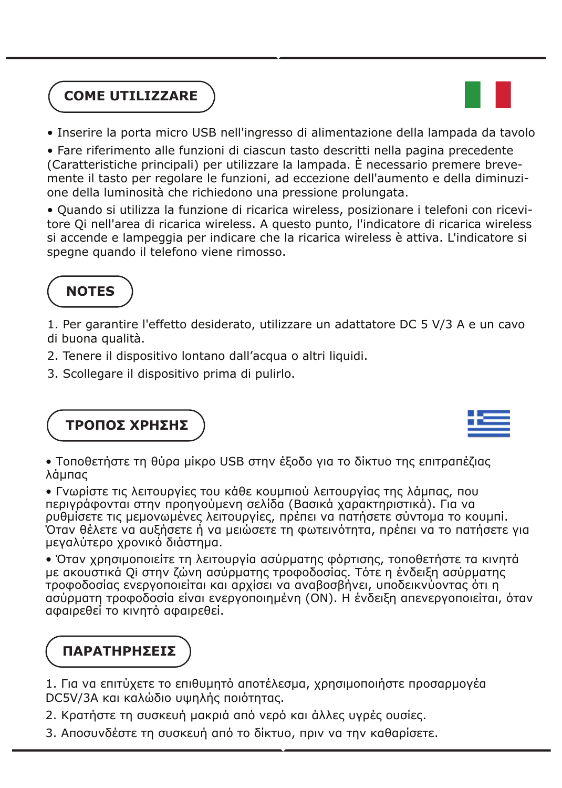### **COME UTILIZZARE**



• Inserire la porta micro USB nell'ingresso di alimentazione della lampada da tavolo

• Fare riferimento alle funzioni di ciascun tasto descritti nella pagina precedente (Caratteristiche principali) per utilizzare la lampada. È necessario premere brevemente il tasto per regolare le funzioni, ad eccezione dell'aumento e della diminuzione della luminosità che richiedono una pressione prolungata.

• Quando si utilizza la funzione di ricarica wireless, posizionare i telefoni con ricevitore Qi nell'area di ricarica wireless. A questo punto, l'indicatore di ricarica wireless si accende e lampeggia per indicare che la ricarica wireless è attiva. L'indicatore si spegne quando il telefono viene rimosso.

#### **NOTES**

1. Per garantire l'effetto desiderato, utilizzare un adattatore DC 5 V/3 A e un cavo di buona qualità.

- 2. Tenere il dispositivo lontano dall'acqua o altri liquidi.
- 3. Scollegare il dispositivo prima di pulirlo.

**ΤΡΟΠΟΣ ΧΡΗΣΗΣ**

• Τοποθετήστε τη θύρα μίκρο USB στην έξοδο για το δίκτυο της επιτραπέζιας λάμπας

• Γνωρίστε τις λειτουργίες του κάθε κουμπιού λειτουργίας της λάμπας, που περιγράφονται στην προηγούμενη σελίδα (Βασικά χαρακτηριστικά). Για να ρυθμίσετε τις μεμονωμένες λειτουργίες, πρέπει να πατήσετε σύντομα το κουμπί. Όταν θέλετε να αυξήσετε ή να μειώσετε τη φωτεινότητα, πρέπει να το πατήσετε για μεγαλύτερο χρονικό διάστημα.

• Όταν χρησιμοποιείτε τη λειτουργία ασύρματης φόρτισης, τοποθετήστε τα κινητά με ακουστικά Qi στην ζώνη ασύρματης τροφοδοσίας. Τότε η ένδειξη ασύρματης τροφοδοσίας ενεργοποιείται και αρχίσει να αναβοσβήνει, υποδεικνύοντας ότι η ασύρματη τροφοδοσία είναι ενεργοποιημένη (ON). Η ένδειξη απενεργοποιείται, όταν αφαιρεθεί το κινητό αφαιρεθεί.

## **ΠΑΡΑΤΗΡΗΣΕΙΣ**

1. Για να επιτύχετε το επιθυμητό αποτέλεσμα, χρησιμοποιήστε προσαρμογέα DC5V/3A και καλώδιο υψηλής ποιότητας.

- 2. Κρατήστε τη συσκευή μακριά από νερό και άλλες υγρές ουσίες.
- 3. Αποσυνδέστε τη συσκευή από το δίκτυο, πριν να την καθαρίσετε.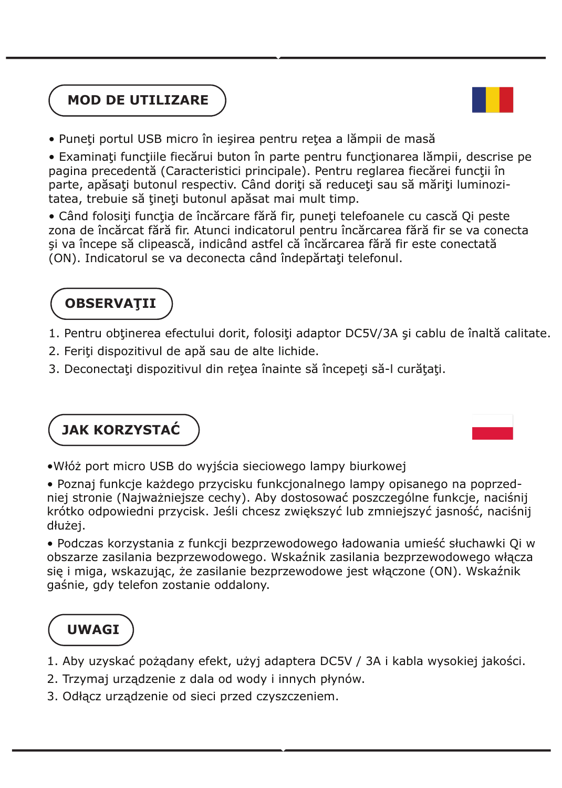



• Puneţi portul USB micro în ieşirea pentru reţea a lămpii de masă

• Examinați funcțiile fiecărui buton în parte pentru funcționarea lămpii, descrise pe pagina precedentă (Caracteristici principale). Pentru reglarea fiecărei funcţii în parte, apăsați butonul respectiv. Când doriți să reduceți sau să măriți luminozitatea, trebuie să țineți butonul apăsat mai mult timp.

• Când folosiţi funcţia de încărcare fără fir, puneţi telefoanele cu cască Qi peste zona de încărcat fără fir. Atunci indicatorul pentru încărcarea fără fir se va conecta şi va începe să clipească, indicând astfel că încărcarea fără fir este conectată (ON). Indicatorul se va deconecta când îndepărtaţi telefonul.

### **OBSERVAŢII**

- 1. Pentru obtinerea efectului dorit, folositi adaptor DC5V/3A și cablu de înaltă calitate.
- 2. Feriţi dispozitivul de apă sau de alte lichide.
- 3. Deconectați dispozitivul din rețea înainte să începeți să-l curățați.

**JAK KORZYSTAĆ** 

•Włóż port micro USB do wyjścia sieciowego lampy biurkowej

• Poznaj funkcje każdego przycisku funkcjonalnego lampy opisanego na poprzedniej stronie (Najważniejsze cechy). Aby dostosować poszczególne funkcje, naciśnij krótko odpowiedni przycisk. Jeśli chcesz zwiększyć lub zmniejszyć jasność, naciśnij dłużej.

• Podczas korzystania z funkcji bezprzewodowego ładowania umieść słuchawki Qi w obszarze zasilania bezprzewodowego. Wskaźnik zasilania bezprzewodowego włącza się i miga, wskazując, że zasilanie bezprzewodowe jest włączone (ON). Wskaźnik gaśnie, gdy telefon zostanie oddalony.

## **UWAGI**

- 1. Aby uzyskać pożądany efekt, użyj adaptera DC5V / 3A i kabla wysokiej jakości.
- 2. Trzymaj urządzenie z dala od wody i innych płynów.
- 3. Odłącz urządzenie od sieci przed czyszczeniem.